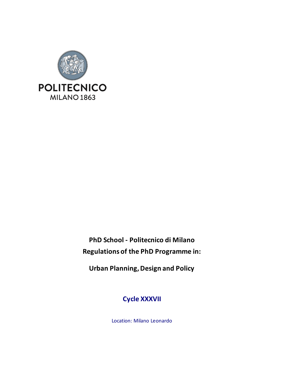

**PhD School - Politecnico di Milano Regulations of the PhD Programme in:**

**Urban Planning, Design and Policy**

**Cycle XXXVII**

Location: Milano Leonardo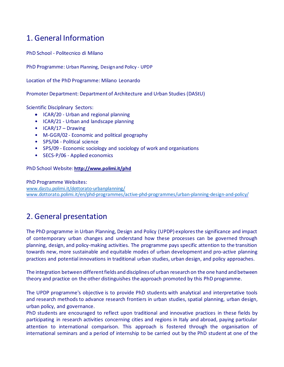## 1. General Information

PhD School - Politecnico di Milano

PhD Programme: Urban Planning, Design and Policy - UPDP

Location of the PhD Programme: Milano Leonardo

Promoter Department: Department of Architecture and Urban Studies (DAStU)

Scientific Disciplinary Sectors:

- ICAR/20 Urban and regional planning
- ICAR/21 Urban and landscape planning
- ICAR/17 Drawing
- M-GGR/02 Economic and political geography
- SPS/04 Political science
- SPS/09 Economic sociology and sociology of work and organisations
- SECS-P/06 Applied economics

PhD School Website: **<http://www.polimi.it/phd>**

PhD Programme Websites: [www.dastu.polimi.it/dottorato-urbanplanning/](http://www.dastu.polimi.it/dottorato-urbanplanning/) [www.dottorato.polimi.it/en/phd-programmes/active-phd-programmes/urban-planning-design-and-policy/](http://www.dottorato.polimi.it/en/phd-programmes/active-phd-programmes/urban-planning-design-and-policy/)

## 2. General presentation

The PhD programme in Urban Planning, Design and Policy (UPDP) exploresthe significance and impact of contemporary urban changes and understand how these processes can be governed through planning, design, and policy-making activities. The programme pays specific attention to the transition towards new, more sustainable and equitable modes of urban development and pro-active planning practices and potential innovations in traditional urban studies, urban design, and policy approaches.

The integration between different fields and disciplines of urban research on the one hand and between theory and practice on the other distinguishes the approach promoted by this PhD programme.

The UPDP programme's objective is to provide PhD students with analytical and interpretative tools and research methods to advance research frontiers in urban studies, spatial planning, urban design, urban policy, and governance.

PhD students are encouraged to reflect upon traditional and innovative practices in these fields by participating in research activities concerning cities and regions in Italy and abroad, paying particular attention to international comparison. This approach is fostered through the organisation of international seminars and a period of internship to be carried out by the PhD student at one of the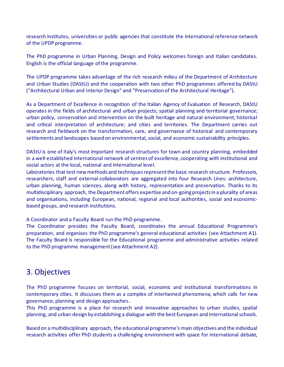research institutes, universities or public agencies that constitute the international reference network of the UPDP programme.

The PhD programme in Urban Planning, Design and Policy welcomes foreign and Italian candidates. English is the official language of the programme.

The UPDP programme takes advantage of the rich research milieu of the Department of Architecture and Urban Studies (DAStU) and the cooperation with two other PhD programmes offered by DAStU ("Architectural Urban and Interior Design" and "Preservation of the Architectural Heritage").

As a Department of Excellence in recognition of the Italian Agency of Evaluation of Research, DAStU operates in the fields of architectural and urban projects; spatial planning and territorial governance; urban policy, conservation and intervention on the built heritage and natural environment; historical and critical interpretation of architecture; and cities and territories. The Department carries out research and fieldwork on the transformation, care, and governance of historical and contemporary settlements and landscapes based on environmental, social, and economic sustainability principles.

DAStU is one of Italy's most important research structures for town and country planning, embedded in a well-established international network of centres of excellence, cooperating with institutional and social actors at the local, national and international level.

Laboratories that test new methods and techniques represent the basic research structure. Professors, researchers, staff and external collaborators are aggregated into four Research Lines: architecture, urban planning, human sciences, along with history, representation and preservation. Thanks to its multidisciplinary approach, the Department offers expertise and on-going projects in a plurality of areas and organisations, including European, national, regional and local authorities, social and economicbased groups, and research institutions.

A Coordinator and a Faculty Board run the PhD programme.

The Coordinator presides the Faculty Board, coordinates the annual Educational Programme's preparation, and organises the PhD programme's general educational activities (see Attachment A1). The Faculty Board is responsible for the Educational programme and administrative activities related to the PhD programme management(see Attachment A2).

## 3. Objectives

The PhD programme focuses on territorial, social, economic and institutional transformations in contemporary cities. It discusses them as a complex of intertwined phenomena, which calls for new governance, planning and design approaches.

This PhD programme is a place for research and innovative approaches to urban studies, spatial planning, and urban design by establishing a dialogue with the best European and International schools.

Based on a multidisciplinary approach, the educational programme's main objectives and the individual research activities offer PhD students a challenging environment with space for international debate,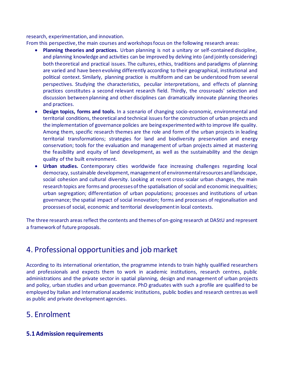research, experimentation, and innovation.

From this perspective, the main courses and workshops focus on the following research areas:

- **Planning theories and practices.** Urban planning is not a unitary or self-contained discipline, and planning knowledge and activities can be improved by delving into (and jointly considering) both theoretical and practical issues. The cultures, ethics, traditions and paradigms of planning are varied and have been evolving differently according to their geographical, institutional and political context. Similarly, planning practice is multiform and can be understood from several perspectives. Studying the characteristics, peculiar interpretations, and effects of planning practices constitutes a second relevant research field. Thirdly, the crossroads' selection and discussion between planning and other disciplines can dramatically innovate planning theories and practices.
- **Design topics, forms and tools.** In a scenario of changing socio-economic, environmental and territorial conditions, theoretical and technical issues for the construction of urban projects and the implementation of governance policies are being experimented with to improve life quality. Among them, specific research themes are the role and form of the urban projects in leading territorial transformations; strategies for land and biodiversity preservation and energy conservation; tools for the evaluation and management of urban projects aimed at mastering the feasibility and equity of land development, as well as the sustainability and the design quality of the built environment.
- **Urban studies.** Contemporary cities worldwide face increasing challenges regarding local democracy, sustainable development, management of environmental resources and landscape, social cohesion and cultural diversity. Looking at recent cross-scalar urban changes, the main research topics are forms and processes of the spatialisation of social and economic inequalities; urban segregation; differentiation of urban populations; processes and institutions of urban governance; the spatial impact of social innovation; forms and processes of regionalisation and processes of social, economic and territorial development in local contexts.

The three research areas reflect the contents and themes of on-going research at DAStU and represent a framework of future proposals.

## 4. Professional opportunities and job market

According to its international orientation, the programme intends to train highly qualified researchers and professionals and expects them to work in academic institutions, research centres, public administrations and the private sector in spatial planning, design and management of urban projects and policy, urban studies and urban governance. PhD graduates with such a profile are qualified to be employed by Italian and International academic institutions, public bodies and research centres as well as public and private development agencies.

## 5. Enrolment

## **5.1 Admission requirements**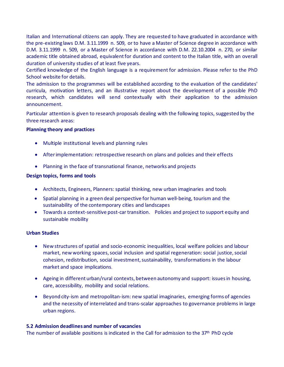Italian and International citizens can apply. They are requested to have graduated in accordance with the pre-existing laws D.M. 3.11.1999 n. 509, or to have a Master of Science degree in accordance with D.M. 3.11.1999 n. 509, or a Master of Science in accordance with D.M. 22.10.2004 n. 270, or similar academic title obtained abroad, equivalent for duration and content to the Italian title, with an overall duration of university studies of at least five years.

Certified knowledge of the English language is a requirement for admission. Please refer to the PhD School website for details.

The admission to the programmes will be established according to the evaluation of the candidates' curricula, motivation letters, and an illustrative report about the development of a possible PhD research, which candidates will send contextually with their application to the admission announcement.

Particular attention is given to research proposals dealing with the following topics, suggested by the three research areas:

#### **Planning theory and practices**

- Multiple institutional levels and planning rules
- After implementation: retrospective research on plans and policies and their effects
- Planning in the face of transnational finance, networks and projects

#### **Design topics, forms and tools**

- Architects, Engineers, Planners: spatial thinking, new urban imaginaries and tools
- Spatial planning in a green deal perspective for human well-being, tourism and the sustainability of the contemporary cities and landscapes
- Towards a context-sensitive post-car transition. Policies and project to support equity and sustainable mobility

#### **Urban Studies**

- New structures of spatial and socio-economic inequalities, local welfare policies and labour market, new working spaces, social inclusion and spatial regeneration: social justice, social cohesion, redistribution, social investment, sustainability, transformations in the labour market and space implications.
- Ageing in different urban/rural contexts, between autonomy and support: issues in housing, care, accessibility, mobility and social relations.
- Beyond city-ism and metropolitan-ism: new spatial imaginaries, emerging forms of agencies and the necessity of interrelated and trans-scalar approaches to governance problems in large urban regions.

#### **5.2 Admission deadlines and number of vacancies**

The number of available positions is indicated in the Call for admission to the  $37<sup>th</sup>$  PhD cycle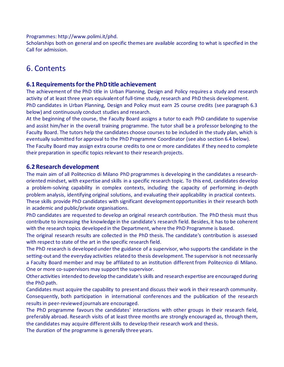Programmes: [http://www.polimi.it/phd.](http://www.polimi.it/phd)

Scholarships both on general and on specific themes are available according to what is specified in the Call for admission.

## 6. Contents

### **6.1 Requirements for the PhD title achievement**

The achievement of the PhD title in Urban Planning, Design and Policy requires a study and research activity of at least three years equivalent of full-time study, research and PhD thesis development. PhD candidates in Urban Planning, Design and Policy must earn 25 course credits (see paragraph 6.3 below) and continuously conduct studies and research.

At the beginning of the course, the Faculty Board assigns a tutor to each PhD candidate to supervise and assist him/her in the overall training programme. The tutor shall be a professor belonging to the Faculty Board. The tutors help the candidates choose courses to be included in the study plan, which is eventually submitted for approval to the PhD Programme Coordinator (see also section 6.4 below).

The Faculty Board may assign extra course credits to one or more candidates if they need to complete their preparation in specific topics relevant to their research projects.

### **6.2 Research development**

The main aim of all Politecnico di Milano PhD programmes is developing in the candidates a researchoriented mindset, with expertise and skills in a specific research topic. To this end, candidates develop a problem-solving capability in complex contexts, including the capacity of performing in-depth problem analysis, identifying original solutions, and evaluating their applicability in practical contexts. These skills provide PhD candidates with significant development opportunities in their research both in academic and public/private organisations.

PhD candidates are requested to develop an original research contribution. The PhD thesis must thus contribute to increasing the knowledge in the candidate's research field. Besides, it has to be coherent with the research topics developed in the Department, where the PhD Programme is based.

The original research results are collected in the PhD thesis. The candidate's contribution is assessed with respect to state of the art in the specific research field.

The PhD research is developed under the guidance of a supervisor, who supports the candidate in the setting-out and the everyday activities related to thesis development. The supervisor is not necessarily a Faculty Board member and may be affiliated to an institution different from Politecnico di Milano. One or more co-supervisors may support the supervisor.

Other activities intended to develop the candidate's skills and research expertise are encouraged during the PhD path.

Candidates must acquire the capability to present and discuss their work in their research community. Consequently, both participation in international conferences and the publication of the research results in peer-reviewed journals are encouraged.

The PhD programme favours the candidates' interactions with other groups in their research field, preferably abroad. Research visits of at least three months are strongly encouraged as, through them, the candidates may acquire differentskills to develop their research work and thesis.

The duration of the programme is generally three years.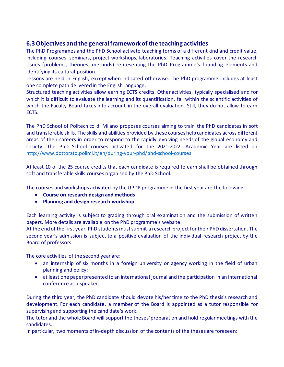## **6.3 Objectives and the general framework of the teaching activities**

The PhD Programmes and the PhD School activate teaching forms of a different kind and credit value, including courses, seminars, project workshops, laboratories. Teaching activities cover the research issues (problems, theories, methods) representing the PhD Programme's founding elements and identifying its cultural position.

Lessons are held in English, except when indicated otherwise. The PhD programme includes at least one complete path delivered in the English language.

Structured teaching activities allow earning ECTS credits. Other activities, typically specialised and for which it is difficult to evaluate the learning and its quantification, fall within the scientific activities of which the Faculty Board takes into account in the overall evaluation. Still, they do not allow to earn ECTS.

The PhD School of Politecnico di Milano proposes courses aiming to train the PhD candidates in soft and transferable skills. The skills and abilities provided by these courses help candidates across different areas of their careers in order to respond to the rapidly evolving needs of the global economy and society. The PhD School courses activated for the 2021-2022 Academic Year are listed on <http://www.dottorato.polimi.it/en/during-your-phd/phd-school-courses>

At least 10 of the 25 course credits that each candidate is required to earn shall be obtained through soft and transferable skills courses organised by the PhD School.

The courses and workshops activated by the UPDP programme in the first year are the following:

- **Course on research design and methods**
- **Planning and design research workshop**

Each learning activity is subject to grading through oral examination and the submission of written papers. More details are available on the PhD programme's website.

At the end of the first year, PhD students mustsubmit a research project for their PhD dissertation. The second year's admission is subject to a positive evaluation of the individual research project by the Board of professors.

The core activities of the second year are:

- an internship of six months in a foreign university or agency working in the field of urban planning and policy;
- at least one paper presented to an international journal and the participation in an international conference as a speaker.

During the third year, the PhD candidate should devote his/her time to the PhD thesis's research and development. For each candidate, a member of the Board is appointed as a tutor responsible for supervising and supporting the candidate's work.

The tutor and the whole Board will support the theses'preparation and hold regular meetings with the candidates.

In particular, two moments of in-depth discussion of the contents of the theses are foreseen: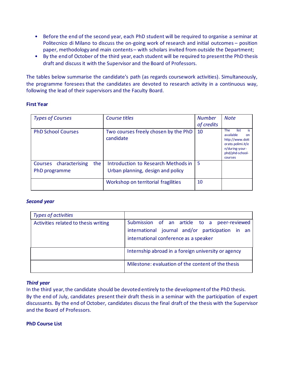- Before the end of the second year, each PhD student will be required to organise a seminar at Politecnico di Milano to discuss the on-going work of research and initial outcomes – position paper, methodology and main contents – with scholars invited from outside the Department;
- By the end of October of the third year, each student will be required to present the PhD thesis draft and discuss it with the Supervisor and the Board of Professors.

The tables below summarise the candidate's path (as regards coursework activities). Simultaneously, the programme foresees that the candidates are devoted to research activity in a continuous way, following the lead of their supervisors and the Faculty Board.

#### **First Year**

| <b>Types of Courses</b>                           | Course titles                                                            | <b>Number</b><br>of credits | <b>Note</b>                                                                                                                          |
|---------------------------------------------------|--------------------------------------------------------------------------|-----------------------------|--------------------------------------------------------------------------------------------------------------------------------------|
| <b>PhD School Courses</b>                         | Two courses freely chosen by the PhD<br>candidate                        | 10                          | <b>The</b><br>list<br>is.<br>available<br>nn<br>http://www.dott<br>orato.polimi.it/e<br>n/during-your-<br>phd/phd-school-<br>courses |
| the<br>characterising<br>Courses<br>PhD programme | Introduction to Research Methods in<br>Urban planning, design and policy | 5                           |                                                                                                                                      |
|                                                   | Workshop on territorial fragilities                                      | 10                          |                                                                                                                                      |

#### *Second year*

| <b>Types of activities</b>           |                                                                                                                                          |
|--------------------------------------|------------------------------------------------------------------------------------------------------------------------------------------|
| Activities related to thesis writing | Submission of an article to a peer-reviewed<br>international journal and/or participation in an<br>international conference as a speaker |
|                                      | Internship abroad in a foreign university or agency                                                                                      |
|                                      | Milestone: evaluation of the content of the thesis                                                                                       |

#### *Third year*

In the third year, the candidate should be devoted entirely to the development of the PhD thesis. By the end of July, candidates present their draft thesis in a seminar with the participation of expert discussants. By the end of October, candidates discuss the final draft of the thesis with the Supervisor and the Board of Professors.

#### **PhD Course List**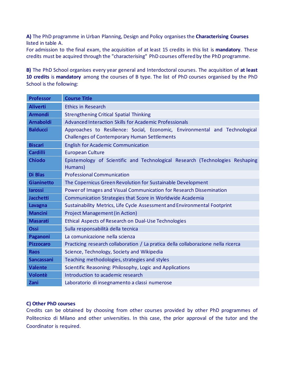**A)** The PhD programme in Urban Planning, Design and Policy organises the **Characterising Courses**  listed in table A.

For admission to the final exam, the acquisition of at least 15 credits in this list is **mandatory**. These credits must be acquired through the "characterising" PhD courses offered by the PhD programme.

**B)** The PhD School organises every year general and Interdoctoral courses. The acquisition of **at least 10 credits** is **mandatory** among the courses of B type*.* The list of PhD courses organised by the PhD School is the following:

| <b>Professor</b>  | <b>Course Title</b>                                                                                                                |  |
|-------------------|------------------------------------------------------------------------------------------------------------------------------------|--|
| <b>Aliverti</b>   | <b>Ethics in Research</b>                                                                                                          |  |
| <b>Armondi</b>    | <b>Strengthening Critical Spatial Thinking</b>                                                                                     |  |
| <b>Arnaboldi</b>  | <b>Advanced Interaction Skills for Academic Professionals</b>                                                                      |  |
| <b>Balducci</b>   | Approaches to Resilience: Social, Economic, Environmental and Technological<br><b>Challenges of Contemporary Human Settlements</b> |  |
| <b>Biscari</b>    | <b>English for Academic Communication</b>                                                                                          |  |
| <b>Cardilli</b>   | <b>European Culture</b>                                                                                                            |  |
| <b>Chiodo</b>     | Epistemology of Scientific and Technological Research (Technologies Reshaping<br>Humans)                                           |  |
| Di Blas           | <b>Professional Communication</b>                                                                                                  |  |
| <b>Gianinetto</b> | The Copernicus Green Revolution for Sustainable Development                                                                        |  |
| <b>larossi</b>    | Power of Images and Visual Communication for Research Dissemination                                                                |  |
| <b>Jacchetti</b>  | Communication Strategies that Score in Worldwide Academia                                                                          |  |
| <b>Lavagna</b>    | Sustainability Metrics, Life Cycle Assessment and Environmental Footprint                                                          |  |
| <b>Mancini</b>    | <b>Project Management (in Action)</b>                                                                                              |  |
| <b>Masarati</b>   | Ethical Aspects of Research on Dual-Use Technologies                                                                               |  |
| <b>Ossi</b>       | Sulla responsabilità della tecnica                                                                                                 |  |
| Paganoni          | La comunicazione nella scienza                                                                                                     |  |
| <b>Pizzocaro</b>  | Practicing research collaboration / La pratica della collaborazione nella ricerca                                                  |  |
| <b>Raos</b>       | Science, Technology, Society and Wikipedia                                                                                         |  |
| <b>Sancassani</b> | Teaching methodologies, strategies and styles                                                                                      |  |
| <b>Valente</b>    | Scientific Reasoning: Philosophy, Logic and Applications                                                                           |  |
| <b>Volontè</b>    | Introduction to academic research                                                                                                  |  |
| Zani              | Laboratorio di insegnamento a classi numerose                                                                                      |  |

#### **C) Other PhD courses**

Credits can be obtained by choosing from other courses provided by other PhD programmes of Politecnico di Milano and other universities. In this case, the prior approval of the tutor and the Coordinator is required.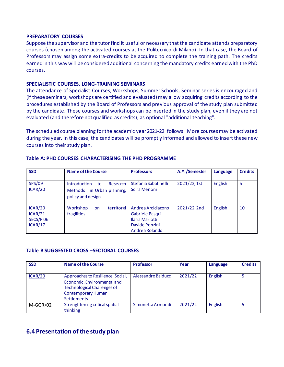#### **PREPARATORY COURSES**

Suppose the supervisor and the tutor find it useful or necessary that the candidate attends preparatory courses (chosen among the activated courses at the Politecnico di Milano). In that case, the Board of Professors may assign some extra-credits to be acquired to complete the training path. The credits earned in this way will be considered additional concerning the mandatory credits earned with the PhD courses.

#### **SPECIALISTIC COURSES, LONG-TRAINING SEMINARS**

The attendance of Specialist Courses, Workshops, Summer Schools, Seminar series is encouraged and (if these seminars, workshops are certified and evaluated) may allow acquiring credits according to the procedures established by the Board of Professors and previous approval of the study plan submitted by the candidate. These courses and workshops can be inserted in the study plan, even if they are not evaluated (and therefore not qualified as credits), as optional "additional teaching".

The scheduled course planning for the academic year 2021-22 follows. More courses may be activated during the year. In this case, the candidates will be promptly informed and allowed to insert these new courses into their study plan.

| <b>SSD</b>                                | <b>Name of the Course</b>                                                                | <b>Professors</b>                                                                            | A.Y./Semester | Language       | <b>Credits</b> |
|-------------------------------------------|------------------------------------------------------------------------------------------|----------------------------------------------------------------------------------------------|---------------|----------------|----------------|
| <b>SPS/09</b><br>ICAR/20                  | Research<br><b>Introduction</b><br>to<br>Methods in Urban planning,<br>policy and design | Stefania Sabatinelli<br>Scira Menoni                                                         | 2021/22, 1st  | English        | 5              |
| ICAR/20<br>ICAR/21<br>SECS/P06<br>ICAR/17 | territorial<br>Workshop<br><b>on</b><br>fragilities                                      | Andrea Arcidiacono<br>Gabriele Pasqui<br>Ilaria Mariotti<br>Davide Ponzini<br>Andrea Rolando | 2021/22, 2nd  | <b>English</b> | 10             |

#### **Table A: PHD COURSES CHARACTERISING THE PHD PROGRAMME**

#### **Table B SUGGESTED CROSS –SECTORAL COURSES**

| <b>SSD</b> | <b>Name of the Course</b>                                                                                                                                 | <b>Professor</b>    | Year    | Language       | <b>Credits</b> |
|------------|-----------------------------------------------------------------------------------------------------------------------------------------------------------|---------------------|---------|----------------|----------------|
| ICAR/20    | Approaches to Resilience: Social,<br>Economic, Environmental and<br><b>Technological Challenges of</b><br><b>Contemporary Human</b><br><b>Settlements</b> | Alessandro Balducci | 2021/22 | English        |                |
| $M-GGR/02$ | Strenghtening critical spatial<br>thinking                                                                                                                | Simonetta Armondi   | 2021/22 | <b>English</b> |                |

### **6.4 Presentation of the study plan**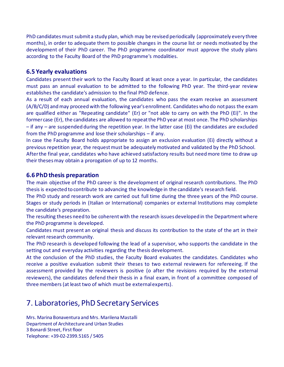PhD candidates must submit a study plan, which may be revised periodically (approximately every three months), in order to adequate them to possible changes in the course list or needs motivated by the development of their PhD career. The PhD programme coordinator must approve the study plans according to the Faculty Board of the PhD programme's modalities.

### **6.5 Yearly evaluations**

Candidates present their work to the Faculty Board at least once a year. In particular, the candidates must pass an annual evaluation to be admitted to the following PhD year. The third-year review establishes the candidate's admission to the final PhD defence.

As a result of each annual evaluation, the candidates who pass the exam receive an assessment (A/B/C/D) and may proceed with the following year's enrollment. Candidates who do not pass the exam are qualified either as "Repeating candidate" (Er) or "not able to carry on with the PhD (Ei)". In the former case (Er), the candidates are allowed to repeat the PhD year at most once. The PhD scholarships – if any – are suspended during the repetition year. In the latter case (Ei) the candidates are excluded from the PhD programme and lose their scholarships – if any.

In case the Faculty Board holds appropriate to assign an exclusion evaluation (Ei) directly without a previous repetition year, the request must be adequately motivated and validated by the PhD School. After the final year, candidates who have achieved satisfactory results but need more time to draw up their thesesmay obtain a prorogation of up to 12 months.

### **6.6 PhD thesis preparation**

The main objective of the PhD career is the development of original research contributions. The PhD thesis is expected to contribute to advancing the knowledge in the candidate's research field.

The PhD study and research work are carried out full time during the three years of the PhD course. Stages or study periods in (Italian or International) companies or external Institutions may complete the candidate's preparation.

The resulting theses need to be coherent with the research issues developed in the Department where the PhD programme is developed.

Candidates must present an original thesis and discuss its contribution to the state of the art in their relevant research community.

The PhD research is developed following the lead of a supervisor, who supports the candidate in the setting out and everyday activities regarding the thesis development.

At the conclusion of the PhD studies, the Faculty Board evaluates the candidates. Candidates who receive a positive evaluation submit their theses to two external reviewers for refereeing. If the assessment provided by the reviewers is positive (o after the revisions required by the external reviewers), the candidates defend their thesis in a final exam, in front of a committee composed of three members (at least two of which must be external experts).

## 7. Laboratories, PhD Secretary Services

Mrs. Marina Bonaventura and Mrs. Marilena Mastalli Department of Architecture and Urban Studies 3 Bonardi Street, First floor Telephone: +39-02-2399.5165 / 5405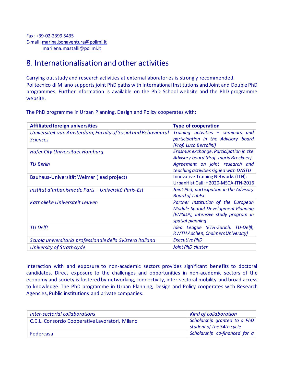## 8. Internationalisation and other activities

Carrying out study and research activities at external laboratories is strongly recommended. Politecnico di Milano supports joint PhD paths with International Institutions and Joint and Double PhD programmes. Further information is available on the PhD School website and the PhD programme website.

The PhD programme in Urban Planning, Design and Policy cooperates with:

| <b>Affiliated foreign universities</b>                        | <b>Type of cooperation</b>                 |
|---------------------------------------------------------------|--------------------------------------------|
| Universiteit van Amsterdam, Faculty of Social and Behavioural | Training activities - seminars and         |
| <b>Sciences</b>                                               | participation in the Advisory board        |
|                                                               | (Prof. Luca Bertolini)                     |
| <b>HafenCity Universitaet Hamburg</b>                         | Erasmus exchange. Participation in the     |
|                                                               | Advisory board (Prof. Ingrid Breckner).    |
| <b>TU Berlin</b>                                              | Agreement on joint research and            |
|                                                               | teaching activities signed with DASTU      |
| Bauhaus-Universität Weimar (lead project)                     | <b>Innovative Training Networks (ITN);</b> |
|                                                               | UrbanHist Call: H2020-MSCA-ITN-2016        |
| Institut d'urbanisme de Paris – Université Paris-Est          | Joint Phd; participation in the Advisory   |
|                                                               | <b>Board of LabEx.</b>                     |
| Katholieke Universiteit Leuven                                | Partner Institution of the European        |
|                                                               | <b>Module Spatial Development Planning</b> |
|                                                               | (EMSDP), intensive study program in        |
|                                                               | spatial planning                           |
| <b>TU Delft</b>                                               | Idea League (ETH-Zurich, TU-Delft,         |
|                                                               | <b>RWTH Aachen, Chalmers University)</b>   |
| Scuola universitaria professionale della Svizzera italiana    | <b>Executive PhD</b>                       |
| <b>University of Strathclyde</b>                              | Joint PhD cluster                          |

Interaction with and exposure to non-academic sectors provides significant benefits to doctoral candidates. Direct exposure to the challenges and opportunities in non-academic sectors of the economy and society is fostered by networking, connectivity, inter-sectoral mobility and broad access to knowledge. The PhD programme in Urban Planning, Design and Policy cooperates with Research Agencies, Public institutions and private companies.

| Inter-sectorial collaborations                  | <b>Kind of collaboration</b>                              |
|-------------------------------------------------|-----------------------------------------------------------|
| C.C.L. Consorzio Cooperative Lavoratori, Milano | Scholarship granted to a PhD<br>student of the 34th cycle |
| Federcasa                                       | Scholarship co-financed for a                             |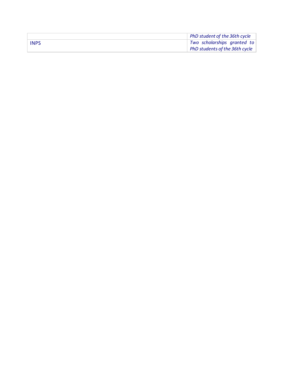|             | PhD student of the 36th cycle  |
|-------------|--------------------------------|
| <b>INPS</b> | Two scholarships granted to    |
|             | PhD students of the 36th cycle |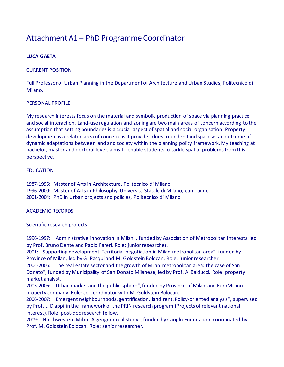## Attachment A1 – PhD Programme Coordinator

### **LUCA GAETA**

#### CURRENT POSITION

Full Professor of Urban Planning in the Department of Architecture and Urban Studies, Politecnico di Milano.

#### PERSONAL PROFILE

My research interests focus on the material and symbolic production of space via planning practice and social interaction. Land-use regulation and zoning are two main areas of concern according to the assumption that setting boundaries is a crucial aspect of spatial and social organisation. Property development is a related area of concern as it provides clues to understand space as an outcome of dynamic adaptations between land and society within the planning policy framework. My teaching at bachelor, master and doctoral levels aims to enable students to tackle spatial problems from this perspective.

#### EDUCATION

1987-1995: Master of Arts in Architecture, Politecnico di Milano 1996-2000: Master of Arts in Philosophy, Università Statale di Milano, cum laude 2001-2004: PhD in Urban projects and policies, Politecnico di Milano

#### ACADEMIC RECORDS

#### Scientific research projects

1996-1997: "Administrative innovation in Milan", funded by Association of Metropolitan Interests, led by Prof. Bruno Dente and Paolo Fareri. Role: junior researcher.

2001: "Supporting development. Territorial negotiation in Milan metropolitan area", funded by Province of Milan, led by G. Pasqui and M. Goldstein Bolocan. Role: junior researcher.

2004-2005: "The real estate sector and the growth of Milan metropolitan area: the case of San Donato", funded by Municipality of San Donato Milanese, led by Prof. A. Balducci. Role: property market analyst.

2005-2006: "Urban market and the public sphere", funded by Province of Milan and EuroMilano property company. Role: co-coordinator with M. Goldstein Bolocan.

2006-2007: "Emergent neighbourhoods, gentrification, land rent. Policy-oriented analysis", supervised by Prof. L. Diappi in the framework of the PRIN research program (Projects of relevant national interest). Role: post-doc research fellow.

2009: "Northwestern Milan. A geographical study", funded by Cariplo Foundation, coordinated by Prof. M. Goldstein Bolocan. Role: senior researcher.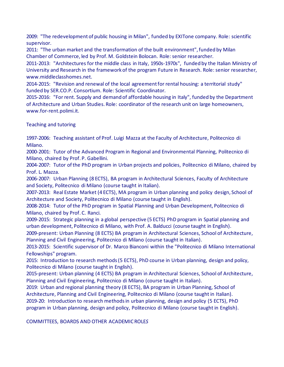2009: "The redevelopment of public housing in Milan", funded by EXITone company. Role: scientific supervisor.

2011: "The urban market and the transformation of the built environment", funded by Milan Chamber of Commerce, led by Prof. M. Goldstein Bolocan. Role: senior researcher.

2011-2013: "Architectures for the middle class in Italy, 1950s-1970s", funded by the Italian Ministry of University and Research in the framework of the program Future in Research. Role: senior researcher, www.middleclasshomes.net.

2014-2015: "Revision and renewal of the local agreement for rental housing: a territorial study" funded by SER.CO.P. Consortium. Role: Scientific Coordinator.

2015-2016: "For rent. Supply and demand of affordable housing in Italy", funded by the Department of Architecture and Urban Studies. Role: coordinator of the research unit on large homeowners, www.for-rent.polimi.it.

Teaching and tutoring

1997-2006: Teaching assistant of Prof. Luigi Mazza at the Faculty of Architecture, Politecnico di Milano.

2000-2001: Tutor of the Advanced Program in Regional and Environmental Planning, Politecnico di Milano, chaired by Prof. P. Gabellini.

2004-2007: Tutor of the PhD program in Urban projects and policies, Politecnico di Milano, chaired by Prof. L. Mazza.

2006-2007: Urban Planning (8 ECTS), BA program in Architectural Sciences, Faculty of Architecture and Society, Politecnico di Milano (course taught in Italian).

2007-2013: Real Estate Market (4 ECTS), MA program in Urban planning and policy design, School of Architecture and Society, Politecnico di Milano (course taught in English).

2008-2014: Tutor of the PhD program in Spatial Planning and Urban Development, Politecnico di Milano, chaired by Prof. C. Ranci.

2009-2015: Strategic planning in a global perspective (5 ECTS) PhD program in Spatial planning and urban development, Politecnico di Milano, with Prof. A. Balducci (course taught in English).

2009-present: Urban Planning (8 ECTS) BA program in Architectural Sciences, School of Architecture, Planning and Civil Engineering, Politecnico di Milano (course taught in Italian).

2013-2015: Scientific supervisor of Dr. Marco Bianconi within the "Politecnico di Milano International Fellowships" program.

2015: Introduction to research methods (5 ECTS), PhD course in Urban planning, design and policy, Politecnico di Milano (course taught in English).

2015-present: Urban planning (4 ECTS) BA program in Architectural Sciences, School of Architecture, Planning and Civil Engineering, Politecnico di Milano (course taught in Italian).

2019: Urban and regional planning theory (8 ECTS), BA program in Urban Planning, School of Architecture, Planning and Civil Engineering, Politecnico di Milano (course taught in Italian).

2019-20: Introduction to research methods in urban planning, design and policy (5 ECTS), PhD program in Urban planning, design and policy, Politecnico di Milano (course taught in English).

COMMITTEES, BOARDS AND OTHER ACADEMIC ROLE*S*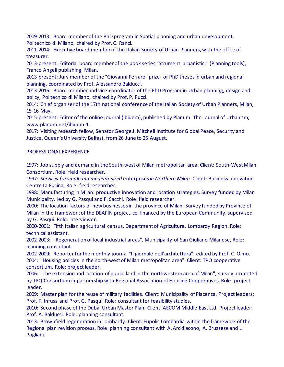2009-2013: Board member of the PhD program in Spatial planning and urban development, Politecnico di Milano, chaired by Prof. C. Ranci.

2011-2014: Executive board member of the Italian Society of Urban Planners, with the office of treasurer.

2013-present: Editorial board member of the book series "Strumenti urbanistici" (Planning tools), Franco Angeli publishing, Milan.

2013-present: Jury member of the "Giovanni Ferraro" prize for PhD theses in urban and regional planning, coordinated by Prof. Alessandro Balducci.

2013-2016: Board member and vice-coordinator of the PhD Program in Urban planning, design and policy, Politecnico di Milano, chaired by Prof. P. Pucci.

2014: Chief organiser of the 17th national conference of the Italian Society of Urban Planners, Milan, 15-16 May.

2015-present: Editor of the online journal (ibidem), published by Planum. The Journal of Urbanism, www.planum.net/ibidem-1.

2017: Visiting research fellow, Senator George J. Mitchell Institute for Global Peace, Security and Justice, Queen's University Belfast, from 26 June to 25 August.

### PROFESSIONAL EXPERIENCE

1997: Job supply and demand in the South-west of Milan metropolitan area. Client: South-West Milan Consortium. Role: field researcher.

1997: *Services for small and medium-sized* enterprises *in Northern Milan*. Client: Business Innovation Centre La Fucina. Role: field researcher.

1998: Manufacturing in Milan: productive innovation and location strategies. Survey funded by Milan Municipality, led by G. Pasqui and F. Sacchi. Role: field researcher.

2000: The location factors of new businesses in the province of Milan. Survey funded by Province of Milan in the framework of the DEAFIN project, co-financed by the European Community, supervised by G. Pasqui. Role: interviewer.

2000-2001: Fifth Italian agricultural census. Department of Agriculture, Lombardy Region. Role: technical assistant.

2002-2003: "Regeneration of local industrial areas", Municipality of San Giuliano Milanese, Role: planning consultant.

2002-2009: Reporter for the monthly journal "Il giornale dell'architettura", edited by Prof. C. Olmo. 2004: "Housing policies in the north-west of Milan metropolitan area". Client: TPQ cooperative consortium. Role: project leader.

2006: "The extension and location of public land in the northwestern area of Milan", survey promoted by TPQ Consortium in partnership with Regional Association of Housing Cooperatives. Role: project leader.

2009: Master plan for the reuse of military facilities. Client: Municipality of Piacenza. Project leaders: Prof. F. Infussi and Prof. G. Pasqui. Role: consultant for feasibility studies.

2010: Second phase of the Dubai Urban Master Plan. Client: AECOM Middle East Ltd. Project leader: Prof. A. Balducci. Role: planning consultant.

2013: Brownfield regeneration in Lombardy. Client: Eupolis Lombardia within the framework of the Regional plan revision process. Role: planning consultant with A. Arcidiacono, A. Bruzzese and L. Pogliani.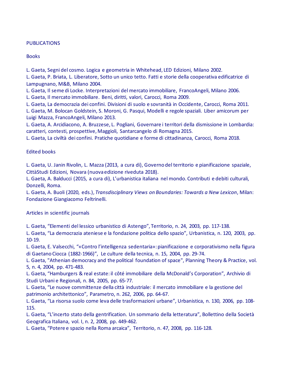#### **PUBLICATIONS**

**Books** 

L. Gaeta, Segni del cosmo. Logica e geometria in Whitehead, LED Edizioni, Milano 2002.

L. Gaeta, P. Briata, L. Liberatore, Sotto un unico tetto. Fatti e storie della cooperativa edificatrice di Lampugnano, M&B, Milano 2004.

L. Gaeta, Il seme di Locke. Interpretazioni del mercato immobiliare, FrancoAngeli, Milano 2006. L. Gaeta, Il mercato immobiliare. Beni, diritti, valori, Carocci, Roma 2009.

L. Gaeta, La democrazia dei confini. Divisioni di suolo e sovranità in Occidente, Carocci, Roma 2011. L. Gaeta, M. Bolocan Goldstein, S. Moroni, G. Pasqui, Modelli e regole spaziali. Liber amicorum per Luigi Mazza, FrancoAngeli, Milano 2013.

L. Gaeta, A. Arcidiacono, A. Bruzzese, L. Pogliani, Governare i territori della dismissione in Lombardia: caratteri, contesti, prospettive, Maggioli, Santarcangelo di Romagna 2015.

L. Gaeta, La civiltà dei confini. Pratiche quotidiane e forme di cittadinanza, Carocci, Roma 2018.

### Edited books

L. Gaeta, U. Janin Rivolin, L. Mazza (2013, a cura di), Governo del territorio e pianificazione spaziale, CittàStudi Edizioni, Novara (nuova edizione riveduta 2018).

L. Gaeta, A. Balducci (2015, a cura di), L'urbanistica italiana nel mondo. Contributi e debiti culturali, Donzelli, Roma.

L. Gaeta, A. Buoli (2020, eds.), *Transdisciplinary Views on Boundaries: Towards a New Lexicon*, Milan: Fondazione Giangiacomo Feltrinelli.

Articles in scientific journals

L. Gaeta, "Elementi del lessico urbanistico di Astengo", Territorio, n. 24, 2003, pp. 117-138.

L. Gaeta, "La democrazia ateniese e la fondazione politica dello spazio", Urbanistica, n. 120, 2003, pp. 10-19.

L. Gaeta, E. Valsecchi, "«Contro l'intelligenza sedentaria»: pianificazione e corporativismo nella figura di Gaetano Ciocca (1882-1966)", Le culture della tecnica, n. 15, 2004, pp. 29-74.

L. Gaeta, "Athenian democracy and the political foundation of space", Planning Theory & Practice, vol. 5, n. 4, 2004, pp. 471-483.

L. Gaeta, "Hamburgers & real estate: il côté immobiliare della McDonald's Corporation", Archivio di Studi Urbani e Regionali, n. 84, 2005, pp. 65-77.

L. Gaeta, "Le nuove committenze della città industriale: il mercato immobiliare e la gestione del patrimonio architettonico", Parametro, n. 262, 2006, pp. 64-67.

L. Gaeta, "La risorsa suolo come leva delle trasformazioni urbane", Urbanistica, n. 130, 2006, pp. 108- 115.

L. Gaeta, "L'incerto stato della gentrification. Un sommario della letteratura", Bollettino della Società Geografica Italiana, vol. I, n. 2, 2008, pp. 449-462.

L. Gaeta, "Potere e spazio nella Roma arcaica", Territorio, n. 47, 2008, pp. 116-128.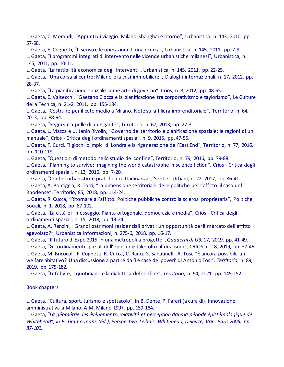L. Gaeta, C. Morandi, "Appunti di viaggio. Milano-Shanghai e ritorno", Urbanistica, n. 143, 2010, pp. 57-58.

L. Gaeta, F. Cognetti, "Il senso e le operazioni di una ricerca", Urbanistica, n. 145, 2011, pp. 7-9.

L. Gaeta, "I programmi integrati di intervento nelle vicende urbanistiche milanesi", Urbanistica, n. 145, 2011, pp. 10-11.

L. Gaeta, "La fattibilità economica degli interventi", Urbanistica, n. 145, 2011, pp. 22-25.

L. Gaeta, "Una corsa al centro: Milano e la crisi immobiliare", Dialoghi internazionali, n. 17, 2012, pp. 28-37.

L. Gaeta, "La pianificazione spaziale come arte di governo", Crios, n. 3, 2012, pp. 48-55.

L. Gaeta, E. Valsecchi, "Gaetano Ciocca e la pianificazione tra corporativismo e taylorismo", Le Culture della Tecnica, n. 21-2, 2011, pp. 155-184.

L. Gaeta, "Costruire per il ceto medio a Milano. Note sulla filiera imprenditoriale", Territorio, n. 64, 2013, pp. 88-94.

L. Gaeta, "Segni sulla pelle di un gigante", Territorio, n. 67, 2013, pp. 27-31.

L. Gaeta, L. Mazza e U. Janin Rivolin, "Governo del territorio e pianificazione spaziale: le ragioni di un manuale", Crios - Critica degli ordinamenti spaziali, n. 9, 2015, pp. 47-55.

L. Gaeta, F. Curci, "I giochi olimpici di Londra e la rigenerazione dell'East End", Territorio, n. 77, 2016, pp. 110-119.

L. Gaeta, "Questioni di metodo nello studio del confine", Territorio, n. 79, 2016, pp. 79-88.

L. Gaeta, "Planning to survive: Imagining the world catastrophe in science fiction", Crios - Critica degli ordinamenti spaziali, n. 12, 2016, pp. 7-20.

L. Gaeta, "Confini urbanistici e pratiche di cittadinanza", Sentieri Urbani, n. 22, 2017, pp. 36-41. L. Gaeta, A. Pontiggia, R. Torri, "La dimensione territoriale delle politiche per l'affitto: il caso del Rhodense", Territorio, 85, 2018, pp. 114-24.

L. Gaeta, R. Cucca, "Ritornare all'affitto. Politiche pubbliche contro la sclerosi proprietaria", Politiche Sociali, n. 1, 2018, pp. 87-102.

L. Gaeta, "La città è il messaggio. Pianta ortogonale, democrazia e media", Crios - Critica degli ordinamenti spaziali, n. 15, 2018, pp. 13-24.

L. Gaeta, A. Ranzini, "Grandi patrimoni residenziali privati: un'opportunità per il mercato dell'affitto agevolato?", Urbanistica informazioni, n. 275-6, 2018, pp. 16-17.

L. Gaeta, "Il futuro di Expo 2015 in una metropoli a progetto", *Quaderni di U3*, 17, 2019, pp. 41-49.

L. Gaeta, "Gli ordinamenti spaziali dell'epoca digitale: oltre il dualismo", CRIOS, n. 18, 2019, pp. 37-46. L. Gaeta, M. Bricocoli, F. Cognetti, R. Cucca, C. Ranci, S. Sabatinelli, A. Tosi, "È ancora possibile un welfare abitativo? Una discussione a partire da 'Le case dei poveri' di Antonio Tosi", *Territorio*, n. 89, 2019, pp. 175-182.

L. Gaeta, "Lefebvre, il quotidiano e la dialettica del confine", *Territorio*, n. 94, 2021, pp. 145-152.

### Book chapters

L. Gaeta, "Cultura, sport, turismo e spettacolo", in B. Dente, P. Fareri (a cura di), Innovazione amministrativa a Milano, AIM, Milano 1997, pp. 159-184.

L. Gaeta, "*La géométrie des événements: relativité et perception dans la période épistémologique de Whitehead*"*, in B. Timmermans (éd.), Perspective. Leibniz, Whitehead, Deleuze, Vrin, Paris 2006, pp. 87-102.*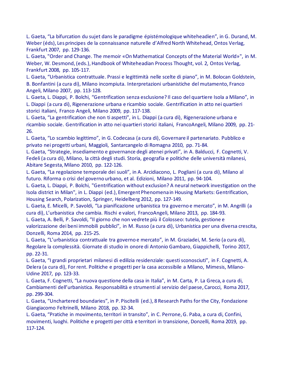L. Gaeta, "La bifurcation du sujet dans le paradigme épistémologique whiteheadien", in G. Durand, M. Weber (éds), Les principes de la connaissance naturelle d'Alfred North Whitehead, Ontos Verlag, Frankfurt 2007, pp. 129-136.

L. Gaeta, "Order and Change. The memoir «On Mathematical Concepts of the Material World»", in M. Weber, W. Desmond, (eds.), Handbook of Whiteheadian Process Thought, vol. 2, Ontos Verlag, Frankfurt 2008, pp. 105-117.

L. Gaeta, "Urbanistica contrattuale. Prassi e legittimità nelle scelte di piano", in M. Bolocan Goldstein, B. Bonfantini (a cura di), Milano incompiuta. Interpretazioni urbanistiche del mutamento, Franco Angeli, Milano 2007, pp. 113-128.

L. Gaeta, L. Diappi, P. Bolchi, "Gentrification senza esclusione? Il caso del quartiere Isola a Milano", in L. Diappi (a cura di), Rigenerazione urbana e ricambio sociale. Gentrification in atto nei quartieri storici italiani, Franco Angeli, Milano 2009, pp. 117-138.

L. Gaeta, "La gentrification che non ti aspetti", in L. Diappi (a cura di), Rigenerazione urbana e ricambio sociale. Gentrification in atto nei quartieri storici italiani, FrancoAngeli, Milano 2009, pp. 21- 26.

L. Gaeta, "Lo scambio legittimo", in G. Codecasa (a cura di), Governare il partenariato. Pubblico e privato nei progetti urbani, Maggioli, Santarcangelo di Romagna 2010, pp. 71-84.

L. Gaeta, "Strategie, insediamento e governance degli atenei privati", in A. Balducci, F. Cognetti, V. Fedeli (a cura di), Milano, la città degli studi. Storia, geografia e politiche delle università milanesi, Abitare Segesta, Milano 2010, pp. 122-126.

L. Gaeta, "La regolazione temporale dei suoli", in A. Arcidiacono, L. Pogliani (a cura di), Milano al futuro. Riforma o crisi del governo urbano, et al. Edizioni, Milano 2011, pp. 94-104.

L. Gaeta, L. Diappi, P. Bolchi, "Gentrification without exclusion? A neural network investigation on the Isola district in Milan", in L. Diappi (ed.), Emergent Phenomena in Housing Markets: Gentrification, Housing Search, Polarization, Springer, Heidelberg 2012, pp. 127-149.

L. Gaeta, E. Micelli, P. Savoldi, "La pianificazione urbanistica tra governo e mercato", in M. Angrilli (a cura di), L'urbanistica che cambia. Rischi e valori, FrancoAngeli, Milano 2013, pp. 184-93.

L. Gaeta, A. Belli, P. Savoldi, "Il giorno che non vedrete più il Colosseo: tutela, gestione e valorizzazione dei beni immobili pubblici", in M. Russo (a cura di), Urbanistica per una diversa crescita, Donzelli, Roma 2014, pp. 215-25.

L. Gaeta, "L'urbanistica contrattuale tra governo e mercato", in M. Graziadei, M. Serio (a cura di), Regolare la complessità. Giornate di studio in onore di Antonio Gambaro, Giappichelli, Torino 2017, pp. 22-31.

L. Gaeta, "I grandi proprietari milanesi di edilizia residenziale: questi sconosciuti", in F. Cognetti, A. Delera (a cura di), For rent. Politiche e progetti per la casa accessibile a Milano, Mimesis, Milano-Udine 2017, pp. 123-33.

L. Gaeta, F. Cognetti, "La nuova questione della casa in Italia", in M. Carta, P. La Greca, a cura di, Cambiamenti dell'urbanistica. Responsabilità e strumenti al servizio del paese, Carocci, Roma 2017, pp. 299-304.

L. Gaeta, "Unchartered boundaries", in P. Piscitelli (ed.), 8 Research Paths for the City, Fondazione Giangiacomo Feltrinelli, Milano 2018, pp. 32-34.

L. Gaeta, "Pratiche in movimento, territori in transito", in C. Perrone, G. Paba, a cura di, Confini, movimenti, luoghi. Politiche e progetti per città e territori in transizione, Donzelli, Roma 2019, pp. 117-124.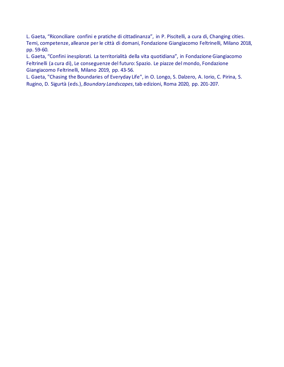L. Gaeta, "Riconciliare confini e pratiche di cittadinanza", in P. Piscitelli, a cura di, Changing cities. Temi, competenze, alleanze per le città di domani, Fondazione Giangiacomo Feltrinelli, Milano 2018, pp. 59-60.

L. Gaeta, "Confini inesplorati. La territorialità della vita quotidiana", in Fondazione Giangiacomo Feltrinelli (a cura di), Le conseguenze del futuro: Spazio. Le piazze del mondo, Fondazione Giangiacomo Feltrinelli, Milano 2019, pp. 43-56.

L. Gaeta, "Chasing the Boundaries of Everyday Life", in O. Longo, S. Dalzero, A. Iorio, C. Pirina, S. Rugino, D. Sigurtà (eds.), *Boundary Landscapes*, tab edizioni, Roma 2020, pp. 201-207.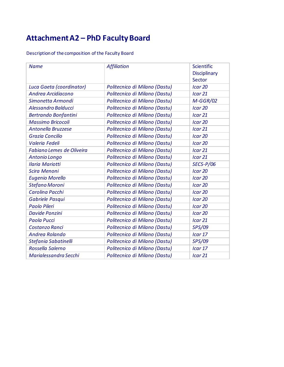# **Attachment A2 – PhD Faculty Board**

Description of the composition of the Faculty Board

| <b>Name</b>                      | <b>Affiliation</b>            | Scientific<br><b>Disciplinary</b><br>Sector |
|----------------------------------|-------------------------------|---------------------------------------------|
| Luca Gaeta (coordinator)         | Politecnico di Milano (Dastu) | Icar 20                                     |
| Andrea Arcidiacono               | Politecnico di Milano (Dastu) | Icar 21                                     |
| Simonetta Armondi                | Politecnico di Milano (Dastu) | $M-GGR/02$                                  |
| Alessandro Balducci              | Politecnico di Milano (Dastu) | Icar 20                                     |
| Bertrando Bonfantini             | Politecnico di Milano (Dastu) | Icar 21                                     |
| <b>Massimo Bricocoli</b>         | Politecnico di Milano (Dastu) | Icar 20                                     |
| Antonella Bruzzese               | Politecnico di Milano (Dastu) | Icar 21                                     |
| <b>Grazia Concilio</b>           | Politecnico di Milano (Dastu) | Icar 20                                     |
| Valeria Fedeli                   | Politecnico di Milano (Dastu) | Icar 20                                     |
| <b>Fabiano Lemes de Oliveira</b> | Politecnico di Milano (Dastu) | Icar 21                                     |
| Antonio Longo                    | Politecnico di Milano (Dastu) | Icar 21                                     |
| <b>Ilaria Mariotti</b>           | Politecnico di Milano (Dastu) | <b>SECS-P/06</b>                            |
| <b>Scira Menoni</b>              | Politecnico di Milano (Dastu) | Icar 20                                     |
| <b>Eugenio Morello</b>           | Politecnico di Milano (Dastu) | Icar 20                                     |
| Stefano Moroni                   | Politecnico di Milano (Dastu) | Icar 20                                     |
| Carolina Pacchi                  | Politecnico di Milano (Dastu) | Icar 20                                     |
| Gabriele Pasqui                  | Politecnico di Milano (Dastu) | Icar 20                                     |
| Paolo Pileri                     | Politecnico di Milano (Dastu) | Icar 20                                     |
| <b>Davide Ponzini</b>            | Politecnico di Milano (Dastu) | Icar 20                                     |
| Paola Pucci                      | Politecnico di Milano (Dastu) | Icar 21                                     |
| Costanzo Ranci                   | Politecnico di Milano (Dastu) | <b>SPS/09</b>                               |
| Andrea Rolando                   | Politecnico di Milano (Dastu) | Icar 17                                     |
| Stefania Sabatinelli             | Politecnico di Milano (Dastu) | <b>SPS/09</b>                               |
| Rossella Salerno                 | Politecnico di Milano (Dastu) | Icar 17                                     |
| Marialessandra Secchi            | Politecnico di Milano (Dastu) | Icar 21                                     |